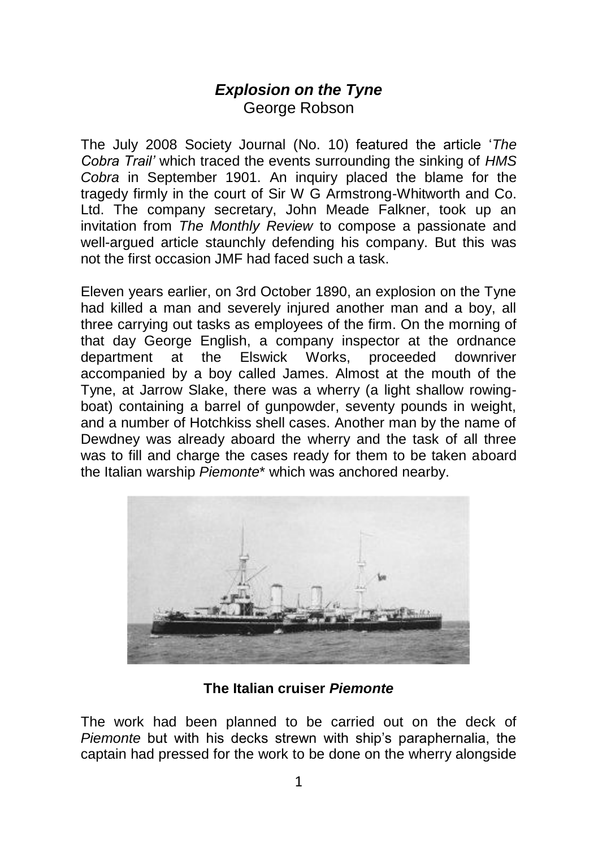## *Explosion on the Tyne* George Robson

The July 2008 Society Journal (No. 10) featured the article '*The Cobra Trail'* which traced the events surrounding the sinking of *HMS Cobra* in September 1901. An inquiry placed the blame for the tragedy firmly in the court of Sir W G Armstrong-Whitworth and Co. Ltd. The company secretary, John Meade Falkner, took up an invitation from *The Monthly Review* to compose a passionate and well-arqued article staunchly defending his company. But this was not the first occasion JMF had faced such a task.

Eleven years earlier, on 3rd October 1890, an explosion on the Tyne had killed a man and severely injured another man and a boy, all three carrying out tasks as employees of the firm. On the morning of that day George English, a company inspector at the ordnance department at the Elswick Works, proceeded downriver accompanied by a boy called James. Almost at the mouth of the Tyne, at Jarrow Slake, there was a wherry (a light shallow rowingboat) containing a barrel of gunpowder, seventy pounds in weight, and a number of Hotchkiss shell cases. Another man by the name of Dewdney was already aboard the wherry and the task of all three was to fill and charge the cases ready for them to be taken aboard the Italian warship *Piemonte*\* which was anchored nearby.



**The Italian cruiser** *Piemonte*

The work had been planned to be carried out on the deck of *Piemonte* but with his decks strewn with ship's paraphernalia, the captain had pressed for the work to be done on the wherry alongside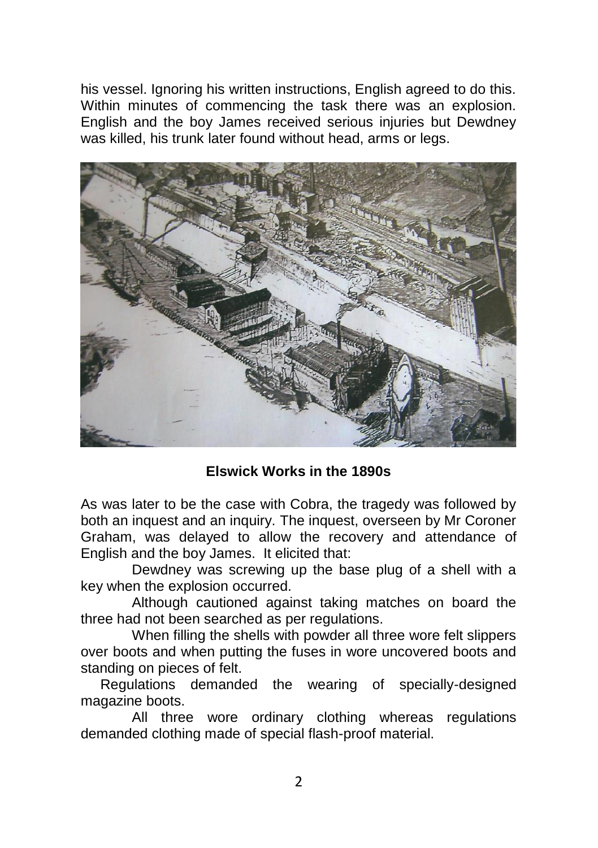his vessel. Ignoring his written instructions, English agreed to do this. Within minutes of commencing the task there was an explosion. English and the boy James received serious injuries but Dewdney was killed, his trunk later found without head, arms or legs.



## **Elswick Works in the 1890s**

As was later to be the case with Cobra, the tragedy was followed by both an inquest and an inquiry. The inquest, overseen by Mr Coroner Graham, was delayed to allow the recovery and attendance of English and the boy James. It elicited that:

Dewdney was screwing up the base plug of a shell with a key when the explosion occurred.

Although cautioned against taking matches on board the three had not been searched as per regulations.

When filling the shells with powder all three wore felt slippers over boots and when putting the fuses in wore uncovered boots and standing on pieces of felt.

 Regulations demanded the wearing of specially-designed magazine boots.

All three wore ordinary clothing whereas regulations demanded clothing made of special flash-proof material.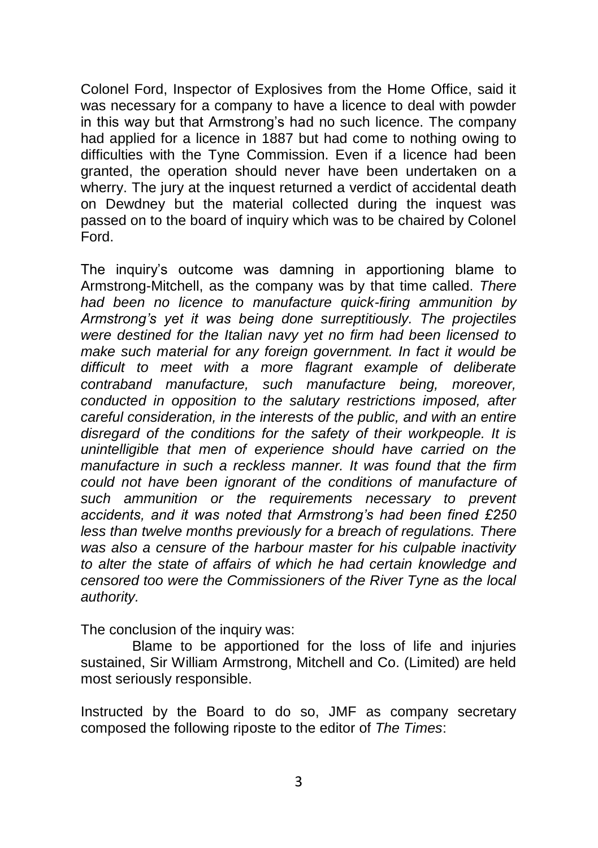Colonel Ford, Inspector of Explosives from the Home Office, said it was necessary for a company to have a licence to deal with powder in this way but that Armstrong's had no such licence. The company had applied for a licence in 1887 but had come to nothing owing to difficulties with the Tyne Commission. Even if a licence had been granted, the operation should never have been undertaken on a wherry. The jury at the inquest returned a verdict of accidental death on Dewdney but the material collected during the inquest was passed on to the board of inquiry which was to be chaired by Colonel Ford.

The inquiry's outcome was damning in apportioning blame to Armstrong-Mitchell, as the company was by that time called. *There had been no licence to manufacture quick-firing ammunition by Armstrong's yet it was being done surreptitiously. The projectiles were destined for the Italian navy yet no firm had been licensed to make such material for any foreign government. In fact it would be difficult to meet with a more flagrant example of deliberate contraband manufacture, such manufacture being, moreover, conducted in opposition to the salutary restrictions imposed, after careful consideration, in the interests of the public, and with an entire disregard of the conditions for the safety of their workpeople. It is unintelligible that men of experience should have carried on the manufacture in such a reckless manner. It was found that the firm could not have been ignorant of the conditions of manufacture of such ammunition or the requirements necessary to prevent accidents, and it was noted that Armstrong's had been fined £250 less than twelve months previously for a breach of regulations. There was also a censure of the harbour master for his culpable inactivity to alter the state of affairs of which he had certain knowledge and censored too were the Commissioners of the River Tyne as the local authority.*

The conclusion of the inquiry was:

 Blame to be apportioned for the loss of life and injuries sustained, Sir William Armstrong, Mitchell and Co. (Limited) are held most seriously responsible.

Instructed by the Board to do so, JMF as company secretary composed the following riposte to the editor of *The Times*: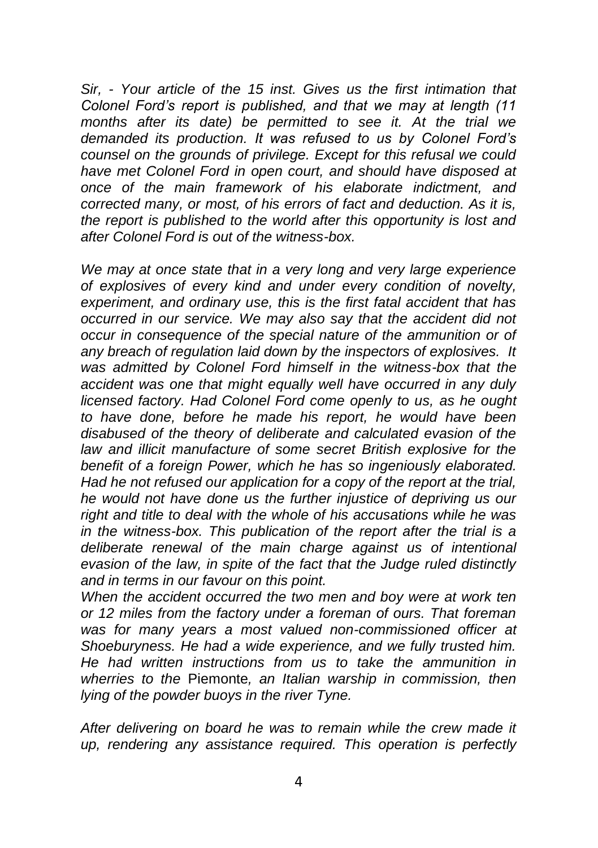*Sir, - Your article of the 15 inst. Gives us the first intimation that Colonel Ford's report is published, and that we may at length (11 months after its date) be permitted to see it. At the trial we demanded its production. It was refused to us by Colonel Ford's counsel on the grounds of privilege. Except for this refusal we could have met Colonel Ford in open court, and should have disposed at once of the main framework of his elaborate indictment, and corrected many, or most, of his errors of fact and deduction. As it is, the report is published to the world after this opportunity is lost and after Colonel Ford is out of the witness-box.*

*We may at once state that in a very long and very large experience of explosives of every kind and under every condition of novelty, experiment, and ordinary use, this is the first fatal accident that has occurred in our service. We may also say that the accident did not occur in consequence of the special nature of the ammunition or of any breach of regulation laid down by the inspectors of explosives. It was admitted by Colonel Ford himself in the witness-box that the accident was one that might equally well have occurred in any duly licensed factory. Had Colonel Ford come openly to us, as he ought to have done, before he made his report, he would have been disabused of the theory of deliberate and calculated evasion of the law and illicit manufacture of some secret British explosive for the benefit of a foreign Power, which he has so ingeniously elaborated. Had he not refused our application for a copy of the report at the trial, he would not have done us the further injustice of depriving us our right and title to deal with the whole of his accusations while he was in the witness-box. This publication of the report after the trial is a deliberate renewal of the main charge against us of intentional evasion of the law, in spite of the fact that the Judge ruled distinctly and in terms in our favour on this point.*

*When the accident occurred the two men and boy were at work ten or 12 miles from the factory under a foreman of ours. That foreman was for many years a most valued non-commissioned officer at Shoeburyness. He had a wide experience, and we fully trusted him. He had written instructions from us to take the ammunition in wherries to the* Piemonte*, an Italian warship in commission, then lying of the powder buoys in the river Tyne.*

*After delivering on board he was to remain while the crew made it up, rendering any assistance required. This operation is perfectly*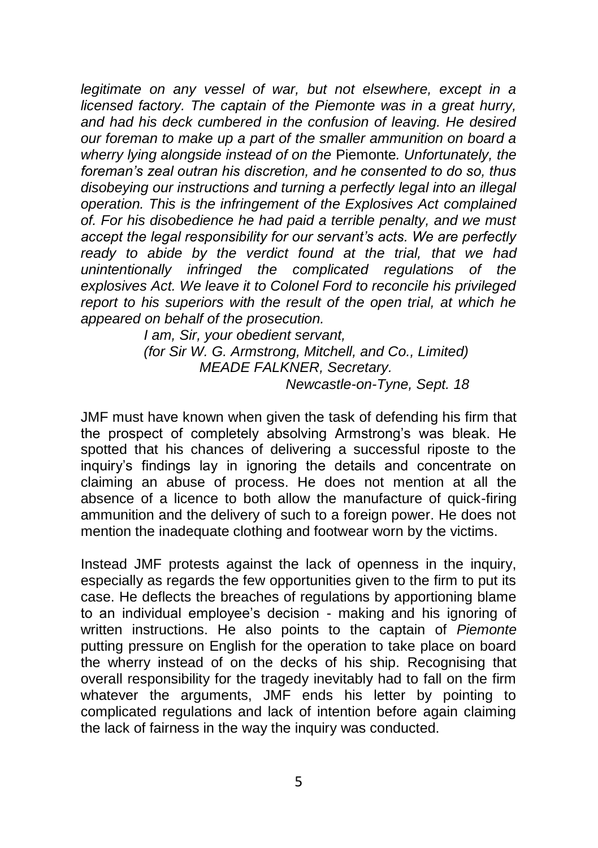*legitimate on any vessel of war, but not elsewhere, except in a licensed factory. The captain of the Piemonte was in a great hurry, and had his deck cumbered in the confusion of leaving. He desired our foreman to make up a part of the smaller ammunition on board a wherry lying alongside instead of on the* Piemonte*. Unfortunately, the foreman's zeal outran his discretion, and he consented to do so, thus disobeying our instructions and turning a perfectly legal into an illegal operation. This is the infringement of the Explosives Act complained of. For his disobedience he had paid a terrible penalty, and we must accept the legal responsibility for our servant's acts. We are perfectly ready to abide by the verdict found at the trial, that we had unintentionally infringed the complicated regulations of the explosives Act. We leave it to Colonel Ford to reconcile his privileged report to his superiors with the result of the open trial, at which he appeared on behalf of the prosecution.*

> *I am, Sir, your obedient servant, (for Sir W. G. Armstrong, Mitchell, and Co., Limited) MEADE FALKNER, Secretary. Newcastle-on-Tyne, Sept. 18*

JMF must have known when given the task of defending his firm that the prospect of completely absolving Armstrong's was bleak. He spotted that his chances of delivering a successful riposte to the inquiry's findings lay in ignoring the details and concentrate on claiming an abuse of process. He does not mention at all the absence of a licence to both allow the manufacture of quick-firing ammunition and the delivery of such to a foreign power. He does not mention the inadequate clothing and footwear worn by the victims.

Instead JMF protests against the lack of openness in the inquiry, especially as regards the few opportunities given to the firm to put its case. He deflects the breaches of regulations by apportioning blame to an individual employee's decision - making and his ignoring of written instructions. He also points to the captain of *Piemonte* putting pressure on English for the operation to take place on board the wherry instead of on the decks of his ship. Recognising that overall responsibility for the tragedy inevitably had to fall on the firm whatever the arguments, JMF ends his letter by pointing to complicated regulations and lack of intention before again claiming the lack of fairness in the way the inquiry was conducted.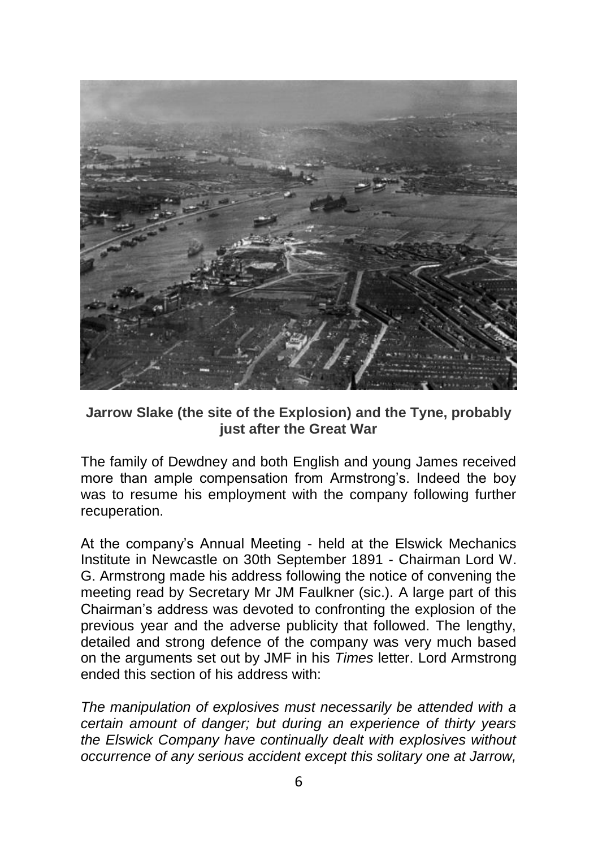

**Jarrow Slake (the site of the Explosion) and the Tyne, probably just after the Great War**

The family of Dewdney and both English and young James received more than ample compensation from Armstrong's. Indeed the boy was to resume his employment with the company following further recuperation.

At the company's Annual Meeting - held at the Elswick Mechanics Institute in Newcastle on 30th September 1891 - Chairman Lord W. G. Armstrong made his address following the notice of convening the meeting read by Secretary Mr JM Faulkner (sic.). A large part of this Chairman's address was devoted to confronting the explosion of the previous year and the adverse publicity that followed. The lengthy, detailed and strong defence of the company was very much based on the arguments set out by JMF in his *Times* letter. Lord Armstrong ended this section of his address with:

*The manipulation of explosives must necessarily be attended with a certain amount of danger; but during an experience of thirty years the Elswick Company have continually dealt with explosives without occurrence of any serious accident except this solitary one at Jarrow,*